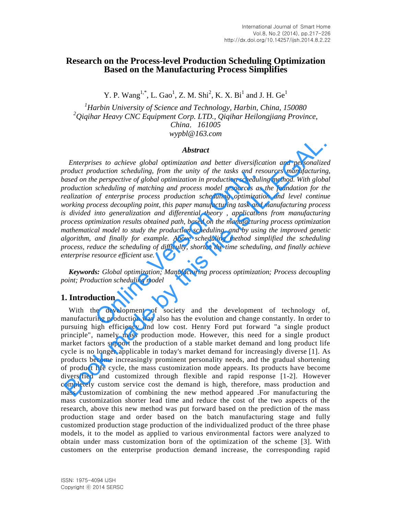# **Research on the Process-level Production Scheduling Optimization Based on the Manufacturing Process Simplifies**

Y. P. Wang<sup>1,\*</sup>, L. Gao<sup>1</sup>, Z. M. Shi<sup>2</sup>, K. X. Bi<sup>1</sup> and J. H. Ge<sup>1</sup>

*<sup>1</sup>Harbin University of Science and Technology, Harbin, China, 150080 <sup>2</sup>Qiqihar Heavy CNC Equipment Corp. LTD., Qiqihar Heilongjiang Province, China*,*161005 wypbl@163.com*

#### *Abstract*

*Enterprises to achieve global optimization and better diversification and personalized product production scheduling, from the unity of the tasks and resources manufacturing,*  based on the perspective of global optimization in production scheduling method. With global *production scheduling of matching and process model resources as the foundation for the realization of enterprise process production scheduling optimization and level continue working process decoupling point, this paper manufacturing task and manufacturing process*  is divided into generalization and differential theory, applications from manufacturing *process optimization results obtained path, based on the manufacturing process optimization mathematical model to study the production scheduling, and by using the improved genetic algorithm, and finally for example. Above scheduling method simplified the scheduling process, reduce the scheduling of difficulty, shorten the time scheduling, and finally achieve enterprise resource efficient use.* Determinismination in the unity of the tasks and respective of global optimization in production scheduling<br>scheduling of matching and process model resources as<br>of enterprise process production scheduling optimization<br>ces **Example 18**<br>**Abstract**<br>**Example 18**<br>**Abstract**<br>**Example 18** and personalized product product product product product product production scheduling, from the unity of the tasks and resources manufacturing<br>and on the persp

*Keywords: Global optimization; Manufacturing process optimization; Process decoupling point; Production scheduling model*

#### **1. Introduction**

With the development of society and the development of technology of, manufacturing production way also has the evolution and change constantly. In order to pursuing high efficiency and low cost. Henry Ford put forward "a single product principle", namely mass production mode. However, this need for a single product market factors support the production of a stable market demand and long product life cycle is no longer applicable in today's market demand for increasingly diverse [1]. As products become increasingly prominent personality needs, and the gradual shortening of product life cycle, the mass customization mode appears. Its products have become diversified and customized through flexible and rapid response [1-2]. However completely custom service cost the demand is high, therefore, mass production and mass customization of combining the new method appeared .For manufacturing the mass customization shorter lead time and reduce the cost of the two aspects of the research, above this new method was put forward based on the prediction of the mass production stage and order based on the batch manufacturing stage and fully customized production stage production of the individualized product of the three phase models, it to the model as applied to various environmental factors were analyzed to obtain under mass customization born of the optimization of the scheme [3]. With customers on the enterprise production demand increase, the corresponding rapid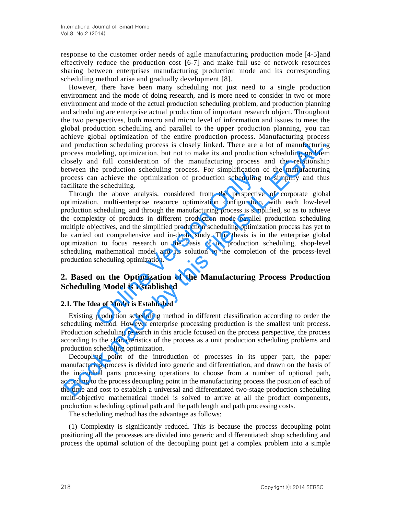response to the customer order needs of agile manufacturing production mode [4-5]and effectively reduce the production cost [6-7] and make full use of network resources sharing between enterprises manufacturing production mode and its corresponding scheduling method arise and gradually development [8].

However, there have been many scheduling not just need to a single production environment and the mode of doing research, and is more need to consider in two or more environment and mode of the actual production scheduling problem, and production planning and scheduling are enterprise actual production of important research object. Throughout the two perspectives, both macro and micro level of information and issues to meet the global production scheduling and parallel to the upper production planning, you can achieve global optimization of the entire production process. Manufacturing process and production scheduling process is closely linked. There are a lot of manufacturing process modeling, optimization, but not to make its and production scheduling problem closely and full consideration of the manufacturing process and the relationship between the production scheduling process. For simplification of the manufacturing process can achieve the optimization of production scheduling to simplify and thus facilitate the scheduling.

Through the above analysis, considered from the perspective of corporate global optimization, multi-enterprise resource optimization configuration, with each low-level production scheduling, and through the manufacturing process is simplified, so as to achieve the complexity of products in different production mode parallel production scheduling multiple objectives, and the simplified production scheduling optimization process has yet to be carried out comprehensive and in-depth study. This thesis is in the enterprise global optimization to focus research on the basis of its production scheduling, shop-level scheduling mathematical model and its solution to the completion of the process-level production scheduling optimization. The process. The and a mathematic and a mathematic in a achieve the optimization of production scheduling<br>the above analysis, considered from the perspective<br>n, multi-enterprise resource optimization configuration,<br>schedul Entre gioral promotion or the characteristic process. Sumatractering process<br>in diproduction scheduling process is closely linked. There are a lot of manufacturing<br>incorporation of the matric production scheduling process

# **2. Based on the Optimization of the Manufacturing Process Production Scheduling Model is Established**

#### **2.1. The Idea of Model is Established**

Existing production scheduling method in different classification according to order the scheduling method. However enterprise processing production is the smallest unit process. Production scheduling research in this article focused on the process perspective, the process according to the characteristics of the process as a unit production scheduling problems and production scheduling optimization.

Decoupling point of the introduction of processes in its upper part, the paper manufacturing process is divided into generic and differentiation, and drawn on the basis of the individual parts processing operations to choose from a number of optional path, according to the process decoupling point in the manufacturing process the position of each of the time and cost to establish a universal and differentiated two-stage production scheduling multi-objective mathematical model is solved to arrive at all the product components, production scheduling optimal path and the path length and path processing costs.

The scheduling method has the advantage as follows:

(1) Complexity is significantly reduced. This is because the process decoupling point positioning all the processes are divided into generic and differentiated; shop scheduling and process the optimal solution of the decoupling point get a complex problem into a simple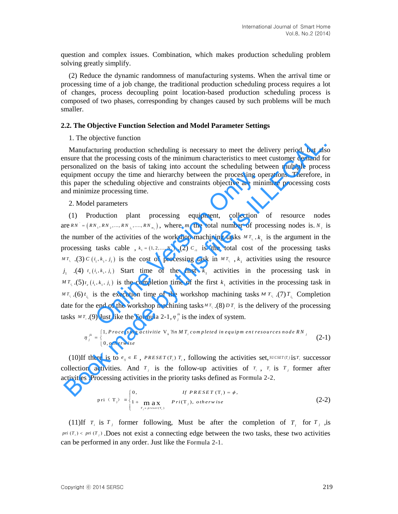question and complex issues. Combination, which makes production scheduling problem solving greatly simplify.

(2) Reduce the dynamic randomness of manufacturing systems. When the arrival time or processing time of a job change, the traditional production scheduling process requires a lot of changes, process decoupling point location-based production scheduling process is composed of two phases, corresponding by changes caused by such problems will be much smaller.

#### **2.2. The Objective Function Selection and Model Parameter Settings**

#### 1. The objective function

Manufacturing production scheduling is necessary to meet the delivery period, but also ensure that the processing costs of the minimum characteristics to meet customer demand for personalized on the basis of taking into account the scheduling between multiple process equipment occupy the time and hierarchy between the processing operations. Therefore, in this paper the scheduling objective and constraints objective are minimize processing costs and minimize processing time.

#### 2. Model parameters

(1) Production plant processing equipment, collection of resource nodes  $1 + 1 + 2 + 3 + 4 = (RN_1, RN_2, ..., RN_{n_1}, ..., RN_{m_n})$ , where  $m_1$  the total number of processing nodes is.  $N_i$  is the number of the activities of the workshop machining tasks  $MT_{i_1}$ ,  $k_1$  is the argument in the processing tasks cable ,  $k_1 = (1, 2, ..., N_1)$  .(2)  $C_{i1}$  is the total cost of the processing tasks  $^{MT_i}$  (3)  $C(i_1, k_1, i_1)$  is the cost of processing task in  $^{MT_i}$ ,  $k_1$  activities using the resource  $j_1$  (4)  $t_s$  ( $i_1$ ,  $k_1$ ,  $j_1$ ) Start time of the first  $k_1$  activities in the processing task in  $MT_{i_i}$ .(5) $t_e$  ( $i_1, k_1, j_1$ ) is the completion time of the first  $k_1$  activities in the processing task in  $^{MT}$ <sup>*i*</sup> . (6)  $t$ <sub>*i*</sub></sup> is the execution time of the workshop machining tasks  $^{MT}$ <sup>*i*</sup> . (7)  $T$ <sub>*i*</sub> Completion date for the end of the workshop machining tasks  $MT_i$ . (8)  $DT_i$  is the delivery of the processing tasks  $MT_i$ .(9) Just like the Formula 2-1,  $\eta_i^{ik}$ occupy the time and hierarchy between the processing op<br>he scheduling objective and constraints objective are min<br>ze processing time.<br>parameters<br>duction plant processing equipment, collection<br>parameters<br>duction plant proc 1. The objective tunction scheduling is necessary to meet the delivery period, but also<br>
Manufacturing production scheduling is necessary to meet the delivery period, but also<br>
masure that the processing costs of the mini

$$
T_i.(9) Just like the Formula 2-1,  $\eta_j^k$  is the index of system.  
\n
$$
\eta_j^k = \begin{cases}\n1, \text{Processing activity it} & \text{with } M \, T_i \text{ completed in equipment resources node RN}_j \\
0, \text{otherwise}\n\end{cases}
$$
\n
$$
(2-1)
$$
$$

(10)If there is to  $e_{ij} \in E$ ,  $PRESET(T_i) T_i$ , following the activities set,  $SUCSET(T_i)$  is  $T_i$  successor collection activities. And  $T_j$  is the follow-up activities of  $T_i$ ,  $T_i$  is  $T_j$  former after

activity tests defined as Formula 2-2.

\n
$$
\text{processing activities in the priority tasks defined as Formula 2-2.}
$$
\n
$$
\text{pri } (\mathbf{T}_j) = \begin{cases} 0, & \text{If } PRESET(\mathbf{T}_i) = \phi, \\ 1 + \max_{T_j \in \text{preset}(\mathbf{T}_i)} & \text{Pri}(\mathbf{T}_j), \text{ otherwise} \end{cases} \tag{2-2}
$$

(11)If  $T_i$  is  $T_j$  former following, Must be after the completion of  $T_i$  for  $T_j$  , is  $pri(T_i) \leq pri(T_j)$ . Does not exist a connecting edge between the two tasks, these two activities can be performed in any order. Just like the Formula 2-1.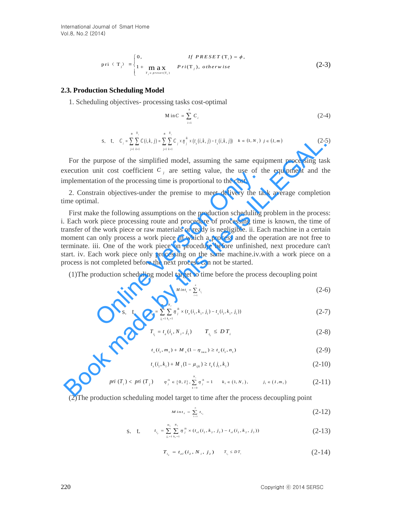$$
\text{pri} \quad (\mathbf{T}_j) = \begin{cases} 0, & \text{if } PRESET(\mathbf{T}_i) = \phi, \\ 1 + \max_{T_j \in \text{preset}(\mathbf{T}_i)} & Pri(\mathbf{T}_j), \text{ otherwise} \end{cases} \tag{2-3}
$$

#### **2.3. Production Scheduling Model**

1. Scheduling objectives- processing tasks cost-optimal

$$
M \text{ in } C = \sum_{i=1}^{n} C_i \tag{2-4}
$$

$$
\text{s. t. } C_i = \sum_{j=1}^{m} \sum_{k=1}^{N_i} C(i, k, j) = \sum_{j=1}^{m} \sum_{k=1}^{N_i} C_j \times \eta_j^{\frac{ik}{n}} \times (t_{\epsilon}(i, k, j) - t_{\epsilon}(i, k, j)) \quad k \in (1, N_i) \quad j \in (I, m) \tag{2-5}
$$

For the purpose of the simplified model, assuming the same equipment processing task execution unit cost coefficient  $C_j$  are setting value, the use of the equipment and the implementation of the processing time is proportional to the cost.

2. Constrain objectives-under the premise to meet delivery the task average completion time optimal.

First make the following assumptions on the production scheduling problem in the process: i. Each work piece processing route and procedure of processing time is known, the time of transfer of the work piece or raw materials or ready is negligible. ii. Each machine in a certain moment can only process a work piece in which a process and the operation are not free to terminate. iii. One of the work piece on procedure before unfinished, next procedure can't start. iv. Each work piece only processing on the same machine.iv.with a work piece on a process is not completed before the next process can not be started. In the cost coefficient  $e_j$  are setting variate, the use of the proof of the processing time is proportional to the cost.<br>
rain objectives-under the premise to meet delivery the ta different different processing route an s, t.  $c_r = \sum_{i} \sum_{i} C(i, i) = \sum_{i} \sum_{j} x_{ij} x_{ij} (i, i, j) = (i, i, j)$   $k \in \{1, \infty\}$ ,  $j \in \{2, \infty\}$ <br>
For the purpose of the simplified model, assuming the same equipment processing tas<br>
xecution unit cost coefficient  $C_j$  are set

(1)The production scheduling model target to time before the process decoupling point

$$
Mint_1 = \sum_{i=1}^n t_{i_i} \tag{2-6}
$$

$$
\text{s. t.} \qquad t_{i_{i}} = \sum_{j_{i}=1}^{m_{1}} \sum_{k_{i}=1}^{N_{i}} \eta_{j}^{ik} \times (t_{e}(i_{1}, k_{1}, j_{1}) - t_{s}(i_{1}, k_{1}, j_{1})) \tag{2-7}
$$

$$
T_{i_i} = t_e(i_1, N_1, j_1) \qquad T_{i_i} \le D T_i \tag{2-8}
$$

$$
t_s(i_1, m_1) + M_1(1 - \eta_{imn}) \ge t_e(i_1, n_1)
$$
\n(2-9)

$$
t_s(i_1, k_1) + M_1(1 - \mu_{ijk}) \ge t_e(j_1, k_1)
$$
\n(2-10)

$$
pri(T_i) < pri(T_j) \qquad \eta_j^{\mu} \in \{0, 1\}, \sum_{k=0}^{N_i} \eta_j^{\mu} = 1 \qquad k_i \in (1, N_i), \qquad j_i \in (1, m_i) \tag{2-11}
$$

(2)The production scheduling model target to time after the process decoupling point

$$
Min t_2 = \sum_{i=1}^{n} t_{i_2} \tag{2-12}
$$

$$
\text{s. t.} \qquad t_{i_2} = \sum_{j_1=1}^{m_1} \sum_{k_1=1}^{N_i} \eta_j^{ik} \times (t_{el}(i_2, k_2, j_2) - t_{sl}(i_2, k_2, j_2)) \tag{2-13}
$$

$$
T_{i_2} = t_{el} (i_2, N_i, j_2) \qquad T_{i_2} \leq D T_i \tag{2-14}
$$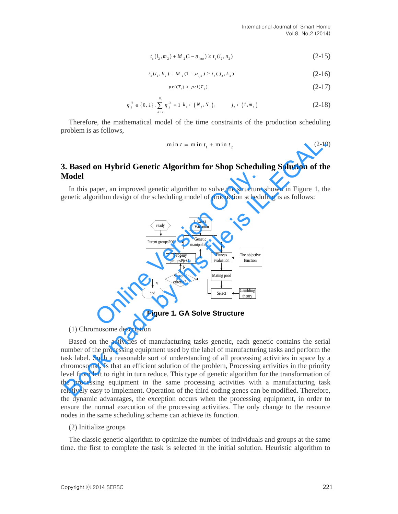$$
t_s(i_2, m_2) + M_2(1 - \eta_{imn}) \ge t_e(i_2, n_2)
$$
 (2-15)

$$
t_s(i_2, k_2) + M_2(1 - \mu_{ijk}) \ge t_e(j_2, k_2)
$$
\n(2-16)

$$
pri(T_i) < pri(T_j) \tag{2-17}
$$

$$
\eta_j^{ik} \in \{0, 1\}, \sum_{k=0}^{N_i} \eta_j^{ik} = 1 \ k_2 \in (N_i, N_i), \qquad j_2 \in (1, m_2)
$$
 (2-18)

Therefore, the mathematical model of the time constraints of the production scheduling problem is as follows,

$$
min t = min t1 + min t2
$$
 (2-19)

# **3. Based on Hybrid Genetic Algorithm for Shop Scheduling Solution of the Model**

In this paper, an improved genetic algorithm to solve the structure shown in Figure 1, the genetic algorithm design of the scheduling model of production scheduling is as follows:



**Figure 1. GA Solve Structure** 

#### (1) Chromosome description

Based on the activities of manufacturing tasks genetic, each genetic contains the serial number of the processing equipment used by the label of manufacturing tasks and perform the task label. Such a reasonable sort of understanding of all processing activities in space by a chromosomal. Is that an efficient solution of the problem, Processing activities in the priority level from left to right in turn reduce. This type of genetic algorithm for the transformation of the processing equipment in the same processing activities with a manufacturing task relatively easy to implement. Operation of the third coding genes can be modified. Therefore, the dynamic advantages, the exception occurs when the processing equipment, in order to ensure the normal execution of the processing activities. The only change to the resource nodes in the same scheduling scheme can achieve its function. **EXERCT SEARCH SEARCH SEARCH SEARCH SEARCH SEARCH SEARCH SEARCH SEARCH SEARCH SEARCH SEARCH SEARCH SEARCH SEARCH SEARCH SEARCH SEARCH SEARCH SEARCH SEARCH SEARCH SEARCH SEARCH SEARCH SEARCH SEARCH SEARCH SEARCH SEARCH SEA** 

#### (2) Initialize groups

The classic genetic algorithm to optimize the number of individuals and groups at the same time. the first to complete the task is selected in the initial solution. Heuristic algorithm to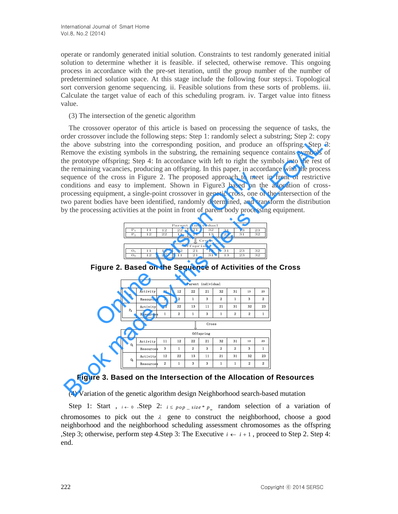operate or randomly generated initial solution. Constraints to test randomly generated initial solution to determine whether it is feasible. if selected, otherwise remove. This ongoing process in accordance with the pre-set iteration, until the group number of the number of predetermined solution space. At this stage include the following four steps:i. Topological sort conversion genome sequencing. ii. Feasible solutions from these sorts of problems. iii. Calculate the target value of each of this scheduling program. iv. Target value into fitness value.

#### (3) The intersection of the genetic algorithm

The crossover operator of this article is based on processing the sequence of tasks, the order crossover include the following steps: Step 1: randomly select a substring; Step 2: copy the above substring into the corresponding position, and produce an offspring. Step 3: Remove the existing symbols in the substring, the remaining sequence contains symbols of the prototype offspring; Step 4: In accordance with left to right the symbols into the rest of the remaining vacancies, producing an offspring. In this paper, in accordance with the process sequence of the cross in Figure 2. The proposed approach to meet in front of restrictive conditions and easy to implement. Shown in Figure3 based on the allocation of crossprocessing equipment, a single-point crossover in genetic cross, one of the intersection of the two parent bodies have been identified, randomly determined, and transform the distribution by the processing activities at the point in front of parent body processing equipment. For the cross in Figure 2. The proposed approach to meet<br>and easy to implement. Shown in Figure 3 based on the<br>equipment, a single-point crossover in genetic cross, one of<br>bodies have been identified, randomly determined, Here the sustainty in the substrate in the control of the control of the control of the properties in the substrainty in the substrate of the reality of the transit symbols in the substrate of the control of the reality o



| Parent individual  |           |    |                         |    |    |                |    |              |    |  |  |
|--------------------|-----------|----|-------------------------|----|----|----------------|----|--------------|----|--|--|
| $P_1$              | Activity  | 11 | 12                      | 22 | 21 | 32             | 31 | 13           | 23 |  |  |
|                    | Resources | 3  | 2                       | 1  | 3  | 2              | 1  | 3            | 2  |  |  |
| $P_2$              | Activity  | 12 | 22                      | 13 | 11 | 21             | 31 | 32           | 23 |  |  |
|                    | Resources | 1  | $\overline{\mathbf{2}}$ | 1  | 3  | $\mathbf{1}$   | 2  | $\mathbf{2}$ | 1  |  |  |
| Cross<br>Offspring |           |    |                         |    |    |                |    |              |    |  |  |
| 0,                 | Activity  | 11 | 12                      | 22 | 21 | 32             | 31 | 13           | 23 |  |  |
|                    | Resources | 3  | 1                       | 2  | 3  | $\overline{2}$ | 2  | 3            | 1  |  |  |
| 0,                 | Activity  | 12 | 22                      | 13 | 11 | 21             | 31 | 32           | 23 |  |  |
|                    | Resources | 2  | 1                       | 3  | 3  | 1              | 1  | 2            | 2  |  |  |

**Figure 2. Based on the Sequence of Activities of the Cross** 

# **Figure 3. Based on the Intersection of the Allocation of Resources**

(4) Variation of the genetic algorithm design Neighborhood search-based mutation

Step 1: Start,  $i \leftarrow 0$ . Step 2:  $i \leq pop\_size * p_m$  random selection of a variation of chromosomes to pick out the  $\lambda$  gene to construct the neighborhood, choose a good neighborhood and the neighborhood scheduling assessment chromosomes as the offspring , Step 3; otherwise, perform step 4. Step 3: The Executive  $i \leftarrow i+1$ , proceed to Step 2. Step 4: end.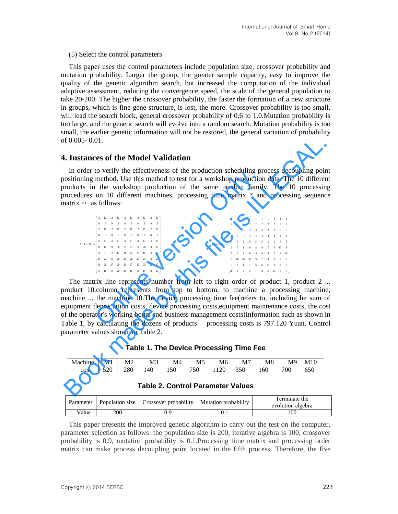(5) Select the control parameters

This paper uses the control parameters include population size, crossover probability and mutation probability. Larger the group, the greater sample capacity, easy to improve the quality of the genetic algorithm search, but increased the computation of the individual adaptive assessment, reducing the convergence speed, the scale of the general population to take 20-200. The higher the crossover probability, the faster the formation of a new structure in groups, which is fine gene structure, is lost, the more. Crossover probability is too small, will lead the search block, general crossover probability of 0.6 to 1.0. Mutation probability is too large, and the genetic search will evolve into a random search. Mutation probability is too small, the earlier genetic information will not be restored, the general variation of probability of 0.005- 0.01.

### **4. Instances of the Model Validation**

In order to verify the effectiveness of the production scheduling process decoupling point positioning method. Use this method to test for a workshop production data. The 10 different products in the workshop production of the same product family. The 10 processing procedures on 10 different machines, processing time matrix *T* and processing sequence matrix  $\circ$  as follows:

| Auch to verify the effectiveness of the production sencularing process acc                                                                        |  |  |  |  |                                                                                                                                   |  |  |  |  |  |  |                                                                                                                                                                                                                                                                                                                                            |  |  |  |  |  |  |  |  |                                                                                                  |
|---------------------------------------------------------------------------------------------------------------------------------------------------|--|--|--|--|-----------------------------------------------------------------------------------------------------------------------------------|--|--|--|--|--|--|--------------------------------------------------------------------------------------------------------------------------------------------------------------------------------------------------------------------------------------------------------------------------------------------------------------------------------------------|--|--|--|--|--|--|--|--|--------------------------------------------------------------------------------------------------|
| oning method. Use this method to test for a workshop production data. The                                                                         |  |  |  |  |                                                                                                                                   |  |  |  |  |  |  |                                                                                                                                                                                                                                                                                                                                            |  |  |  |  |  |  |  |  |                                                                                                  |
| ets in the workshop production of the same product family. The 1                                                                                  |  |  |  |  |                                                                                                                                   |  |  |  |  |  |  |                                                                                                                                                                                                                                                                                                                                            |  |  |  |  |  |  |  |  |                                                                                                  |
| lures on 10 different machines, processing time matrix $\tau$ and process                                                                         |  |  |  |  |                                                                                                                                   |  |  |  |  |  |  |                                                                                                                                                                                                                                                                                                                                            |  |  |  |  |  |  |  |  |                                                                                                  |
| $\circ$ as follows:                                                                                                                               |  |  |  |  |                                                                                                                                   |  |  |  |  |  |  |                                                                                                                                                                                                                                                                                                                                            |  |  |  |  |  |  |  |  |                                                                                                  |
|                                                                                                                                                   |  |  |  |  |                                                                                                                                   |  |  |  |  |  |  |                                                                                                                                                                                                                                                                                                                                            |  |  |  |  |  |  |  |  |                                                                                                  |
|                                                                                                                                                   |  |  |  |  |                                                                                                                                   |  |  |  |  |  |  |                                                                                                                                                                                                                                                                                                                                            |  |  |  |  |  |  |  |  |                                                                                                  |
|                                                                                                                                                   |  |  |  |  | $9 \quad 9 \quad 9 \quad 9 \quad 9 \quad 9 \quad 9 \quad 9 \quad 9 \quad 9$                                                       |  |  |  |  |  |  |                                                                                                                                                                                                                                                                                                                                            |  |  |  |  |  |  |  |  |                                                                                                  |
| $T[10 \times 10] =$                                                                                                                               |  |  |  |  |                                                                                                                                   |  |  |  |  |  |  | $O[10 \times 10] = \left[ \begin{array}{cccccccccccc} 1 & 1 & 1 & 1 & 1 & 1 & 1 & 1 & 1 & 1 & 1 \\ 2 & 2 & 2 & 2 & 2 & 2 & 2 & 2 & 2 & 2 \\ 3 & 3 & 3 & 3 & 3 & 3 & 3 & 3 & 3 & 3 \\ 4 & 4 & 4 & 4 & 4 & 4 & 4 & 4 & 4 & 4 & 4 \\ 5 & 5 & 5 & 5 & 5 & 5 & 5 & 5 & 5 & 5 & 5 \\ 6 & 7 & 8 & 10 & 8 & 9 & 7 & 6 & 10 & 9 \end{array} \right$ |  |  |  |  |  |  |  |  |                                                                                                  |
|                                                                                                                                                   |  |  |  |  |                                                                                                                                   |  |  |  |  |  |  |                                                                                                                                                                                                                                                                                                                                            |  |  |  |  |  |  |  |  |                                                                                                  |
|                                                                                                                                                   |  |  |  |  | $\mathbf{H} = \mathbf{H} - \mathbf{H} - \mathbf{H} - \mathbf{H} - \mathbf{H} - \mathbf{H} - \mathbf{H} - \mathbf{H} - \mathbf{H}$ |  |  |  |  |  |  |                                                                                                                                                                                                                                                                                                                                            |  |  |  |  |  |  |  |  |                                                                                                  |
|                                                                                                                                                   |  |  |  |  | 8 17 21 30 25 27 18 20 19 10                                                                                                      |  |  |  |  |  |  |                                                                                                                                                                                                                                                                                                                                            |  |  |  |  |  |  |  |  |                                                                                                  |
|                                                                                                                                                   |  |  |  |  | 11 6 12 17 24 25 20 16 13 15                                                                                                      |  |  |  |  |  |  |                                                                                                                                                                                                                                                                                                                                            |  |  |  |  |  |  |  |  |                                                                                                  |
|                                                                                                                                                   |  |  |  |  | 25 23 19 20 22 28 20 24 18 23                                                                                                     |  |  |  |  |  |  |                                                                                                                                                                                                                                                                                                                                            |  |  |  |  |  |  |  |  |                                                                                                  |
|                                                                                                                                                   |  |  |  |  | 29    28    27    20    28    27    30    25    20    17                                                                          |  |  |  |  |  |  |                                                                                                                                                                                                                                                                                                                                            |  |  |  |  |  |  |  |  |                                                                                                  |
|                                                                                                                                                   |  |  |  |  | 16 18 19 20 24 18 10 15 10 13                                                                                                     |  |  |  |  |  |  |                                                                                                                                                                                                                                                                                                                                            |  |  |  |  |  |  |  |  | $\begin{array}{ cccccccccccc }\hline 10 & 6 & 7 & 9 & 7 & 10 & 6 & 10 & 6 & 7\hline \end{array}$ |
|                                                                                                                                                   |  |  |  |  |                                                                                                                                   |  |  |  |  |  |  |                                                                                                                                                                                                                                                                                                                                            |  |  |  |  |  |  |  |  |                                                                                                  |
| matrix line represents number from left to right order of product 1,                                                                              |  |  |  |  |                                                                                                                                   |  |  |  |  |  |  |                                                                                                                                                                                                                                                                                                                                            |  |  |  |  |  |  |  |  |                                                                                                  |
| et 10. column represents from top to bottom, to machine a process                                                                                 |  |  |  |  |                                                                                                                                   |  |  |  |  |  |  |                                                                                                                                                                                                                                                                                                                                            |  |  |  |  |  |  |  |  |                                                                                                  |
|                                                                                                                                                   |  |  |  |  |                                                                                                                                   |  |  |  |  |  |  |                                                                                                                                                                                                                                                                                                                                            |  |  |  |  |  |  |  |  |                                                                                                  |
| ne  the machine 10. The device processing time fee (refers to, including                                                                          |  |  |  |  |                                                                                                                                   |  |  |  |  |  |  |                                                                                                                                                                                                                                                                                                                                            |  |  |  |  |  |  |  |  |                                                                                                  |
|                                                                                                                                                   |  |  |  |  |                                                                                                                                   |  |  |  |  |  |  |                                                                                                                                                                                                                                                                                                                                            |  |  |  |  |  |  |  |  |                                                                                                  |
| nent depreciation costs, device processing costs, equipment maintenance<br>operator's working hours and business management costs)Information suc |  |  |  |  |                                                                                                                                   |  |  |  |  |  |  |                                                                                                                                                                                                                                                                                                                                            |  |  |  |  |  |  |  |  |                                                                                                  |
|                                                                                                                                                   |  |  |  |  |                                                                                                                                   |  |  |  |  |  |  |                                                                                                                                                                                                                                                                                                                                            |  |  |  |  |  |  |  |  |                                                                                                  |
| 1, by calculating the dozens of products' processing costs is 797.120                                                                             |  |  |  |  |                                                                                                                                   |  |  |  |  |  |  |                                                                                                                                                                                                                                                                                                                                            |  |  |  |  |  |  |  |  |                                                                                                  |

The matrix line represents number from left to right order of product 1, product 2 ... product 10.column represents from top to bottom, to machine a processing machine, machine ... the machine 10.The device processing time fee(refers to, including he sum of equipment depreciation costs, device processing costs,equipment maintenance costs, the cost of the operator's working hours and business management costs)Information such as shown in Table 1, by calculating the dozens of products' processing costs is 797.120 Yuan. Control parameter values shown in Table 2. **FOOS-0.01.**<br> **In order to verify the effectiveness of the production scheduling process decoupling points<br>
constroining method. Use this method to test for a workshop production data. The 10 different<br>
modules in the wor** 

**Table 1. The Device Processing Time Fee**

| Machine | $\sim$ .<br>Мl | M <sub>2</sub> | M3  | M4  | M <sub>5</sub> | M <sub>6</sub>       | $M^{\tau}$ | M8  | M <sup>9</sup> | M10 |
|---------|----------------|----------------|-----|-----|----------------|----------------------|------------|-----|----------------|-----|
| cost    | 000<br>ں∠ر     | 280            | 140 | 150 | 750            | $\sim$ $\sim$<br>120 | 350        | 160 | 700            | 650 |

| Parameter         |     | Population size   Crossover probability   Mutation probability | Terminate the<br>evolution algebra |
|-------------------|-----|----------------------------------------------------------------|------------------------------------|
| $v_{\text{alue}}$ | 200 |                                                                | 100                                |

**Table 2. Control Parameter Values** 

This paper presents the improved genetic algorithm to carry out the test on the computer, parameter selection as follows: the population size is 200, iterative algebra is 100, crossover probability is 0.9, mutation probability is 0.1.Processing time matrix and processing order matrix can make process decoupling point located in the fifth process. Therefore, the five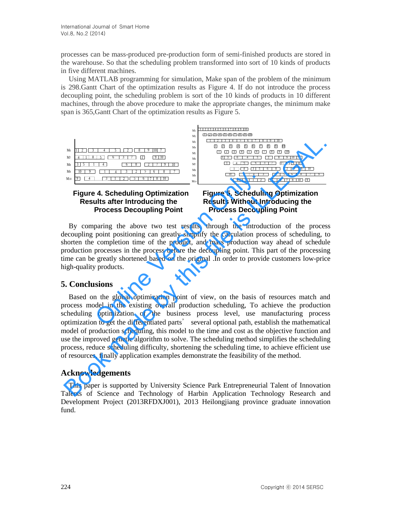processes can be mass-produced pre-production form of semi-finished products are stored in the warehouse. So that the scheduling problem transformed into sort of 10 kinds of products in five different machines.

Using MATLAB programming for simulation, Make span of the problem of the minimum is 298.Gantt Chart of the optimization results as Figure 4. If do not introduce the process decoupling point, the scheduling problem is sort of the 10 kinds of products in 10 different machines, through the above procedure to make the appropriate changes, the minimum make span is 365,Gantt Chart of the optimization results as Figure 5.



# **Figure 4. Scheduling Optimization Figure 5. Scheduling Optimization Results after Introducing the Kesults Without Introducing the**

# **Process Decoupling Point Process Decoupling Point**

By comparing the above two test results, through the introduction of the process decoupling point positioning can greatly simplify the calculation process of scheduling, to shorten the completion time of the product, and mass production way ahead of schedule production processes in the process before the decoupling point. This part of the processing time can be greatly shortened based on the original .In order to provide customers low-price high-quality products. **Example 18 Consider the Control of the Scheduling Optimization**<br> **Example 18 Consider the Consider Consider Schedulist after Introducing the**<br> **Process Decoupling Point**<br> **Process Decoupling Point**<br> **Process Decoupling Po** 

# **5. Conclusions**

Based on the global optimization point of view, on the basis of resources match and process model in the existing overall production scheduling, To achieve the production scheduling optimization of the business process level, use manufacturing process optimization to get the differentiated parts' several optional path, establish the mathematical model of production scheduling, this model to the time and cost as the objective function and use the improved genetic algorithm to solve. The scheduling method simplifies the scheduling process, reduce scheduling difficulty, shortening the scheduling time, to achieve efficient use of resources, finally application examples demonstrate the feasibility of the method. A THE CONSIDERATION CONSIDERATION AND THE CONSIDERATION CONSIDERATION AND THE CONSIDERATION AND THE CONSIDERATION AND THE CONSIDERATION AND THE CONSIDERATION AND THE CONSIDERATION AND THE CONSIDERATION CONSIDERATION CONSI

# **Acknowledgements**

This paper is supported by University Science Park Entrepreneurial Talent of Innovation Talents of Science and Technology of Harbin Application Technology Research and Development Project (2013RFDXJ001), 2013 Heilongjiang province graduate innovation fund.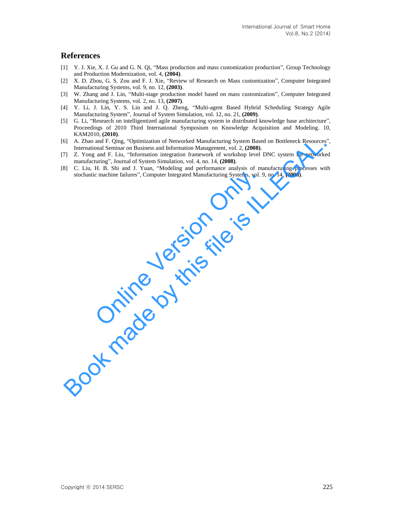## **References**

- [1] Y. J. Xie, X. J. Gu and G. N. Qi, "Mass production and mass customization production", Group Technology and Production Modernization, vol. 4, **(2004)**.
- [2] X. D. Zhou, G. S. Zou and F. J. Xie, "Review of Research on Mass customization", Computer Integrated Manufacturing Systems, vol. 9, no. 12, **(2003)**.
- [3] W. Zhang and J. Lin, "Multi-stage production model based on mass customization", Computer Integrated Manufacturing Systems, vol. 2, no. 13, **(2007)**.
- [4] Y. Li, J. Lin, Y. S. Lin and J. Q. Zheng, "Multi-agent Based Hybrid Scheduling Strategy Agile Manufacturing System", Journal of System Simulation, vol. 12, no. 21, **(2009)**.
- [5] G. Li, "Research on intelligentized agile manufacturing system in distributed knowledge base architecture", Proceedings of 2010 Third International Symposium on Knowledge Acquisition and Modeling. 10, KAM2010, **(2010)**.
- [6] A. Zhao and F. Qing, "Optimization of Networked Manufacturing System Based on Bottleneck Resources", International Seminar on Business and Information Management, vol. 2, **(2008)**. S[ A. Zhoo and F. Ulteg. "Optimization of Networked Manufacturing System Based on Bottlenck Resources<br>International Seminar on Basiness and Information Management, vol. 2, (2008).<br>To Z. Yong and F. Liu, "Information integr
- [7] Z. Yong and F. Liu, "Information integration framework of workshop level DNC system for networked manufacturing", Journal of System Simulation, vol. 4, no. 14, **(2008)**.
- [8] C. Liu, H. B. Shi and J. Yuan, "Modeling and performance analysis of manufacturing processes with stochastic machine failures", Computer Integrated Manufacturing Systems, vol. 9, no. 14, **(2008)**. c machine failures", Computer Integrated Manufacturing Systems, vol. 9